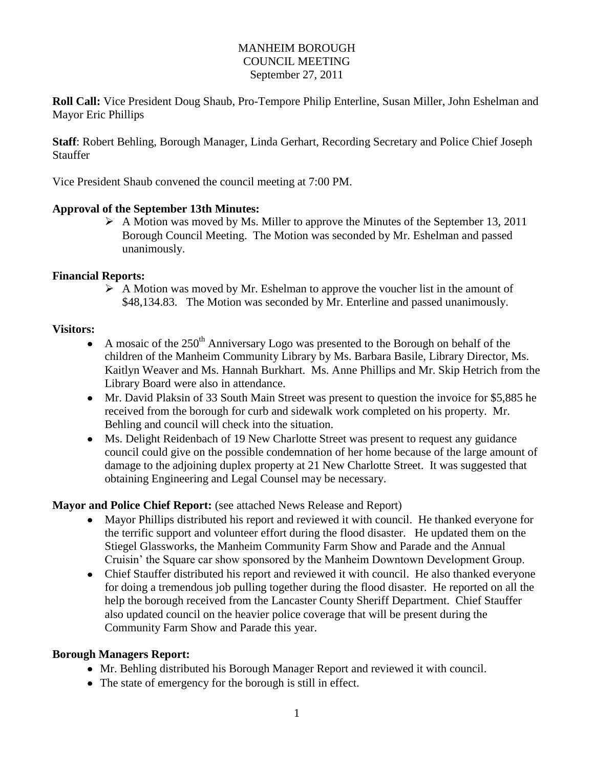### MANHEIM BOROUGH COUNCIL MEETING September 27, 2011

**Roll Call:** Vice President Doug Shaub, Pro-Tempore Philip Enterline, Susan Miller, John Eshelman and Mayor Eric Phillips

**Staff**: Robert Behling, Borough Manager, Linda Gerhart, Recording Secretary and Police Chief Joseph Stauffer

Vice President Shaub convened the council meeting at 7:00 PM.

### **Approval of the September 13th Minutes:**

 $\triangleright$  A Motion was moved by Ms. Miller to approve the Minutes of the September 13, 2011 Borough Council Meeting. The Motion was seconded by Mr. Eshelman and passed unanimously.

#### **Financial Reports:**

 $\triangleright$  A Motion was moved by Mr. Eshelman to approve the voucher list in the amount of \$48,134.83. The Motion was seconded by Mr. Enterline and passed unanimously.

#### **Visitors:**

- A mosaic of the  $250<sup>th</sup>$  Anniversary Logo was presented to the Borough on behalf of the children of the Manheim Community Library by Ms. Barbara Basile, Library Director, Ms. Kaitlyn Weaver and Ms. Hannah Burkhart. Ms. Anne Phillips and Mr. Skip Hetrich from the Library Board were also in attendance.
- Mr. David Plaksin of 33 South Main Street was present to question the invoice for \$5,885 he received from the borough for curb and sidewalk work completed on his property. Mr. Behling and council will check into the situation.
- Ms. Delight Reidenbach of 19 New Charlotte Street was present to request any guidance council could give on the possible condemnation of her home because of the large amount of damage to the adjoining duplex property at 21 New Charlotte Street. It was suggested that obtaining Engineering and Legal Counsel may be necessary.

## **Mayor and Police Chief Report:** (see attached News Release and Report)

- Mayor Phillips distributed his report and reviewed it with council. He thanked everyone for the terrific support and volunteer effort during the flood disaster. He updated them on the Stiegel Glassworks, the Manheim Community Farm Show and Parade and the Annual Cruisin' the Square car show sponsored by the Manheim Downtown Development Group.
- Chief Stauffer distributed his report and reviewed it with council. He also thanked everyone for doing a tremendous job pulling together during the flood disaster. He reported on all the help the borough received from the Lancaster County Sheriff Department. Chief Stauffer also updated council on the heavier police coverage that will be present during the Community Farm Show and Parade this year.

## **Borough Managers Report:**

- Mr. Behling distributed his Borough Manager Report and reviewed it with council.
- The state of emergency for the borough is still in effect.